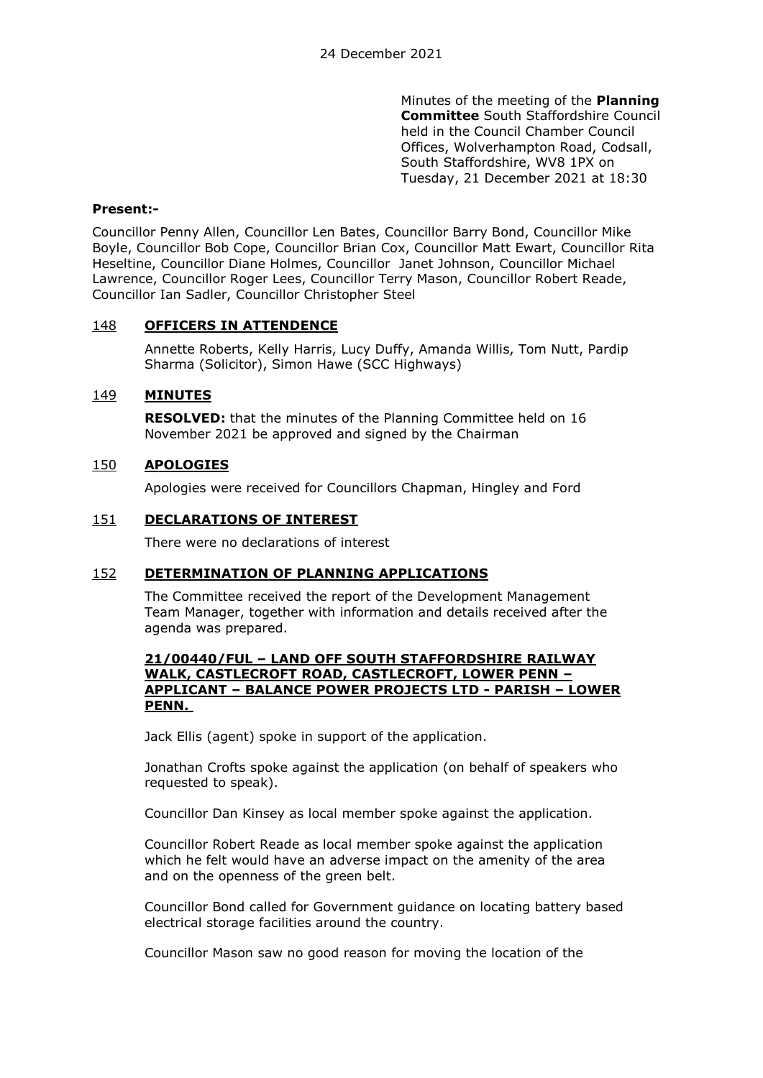Minutes of the meeting of the **Planning Committee** South Staffordshire Council held in the Council Chamber Council Offices, Wolverhampton Road, Codsall, South Staffordshire, WV8 1PX on Tuesday, 21 December 2021 at 18:30

## **Present:-**

Councillor Penny Allen, Councillor Len Bates, Councillor Barry Bond, Councillor Mike Boyle, Councillor Bob Cope, Councillor Brian Cox, Councillor Matt Ewart, Councillor Rita Heseltine, Councillor Diane Holmes, Councillor Janet Johnson, Councillor Michael Lawrence, Councillor Roger Lees, Councillor Terry Mason, Councillor Robert Reade, Councillor Ian Sadler, Councillor Christopher Steel

## 148 **OFFICERS IN ATTENDENCE**

Annette Roberts, Kelly Harris, Lucy Duffy, Amanda Willis, Tom Nutt, Pardip Sharma (Solicitor), Simon Hawe (SCC Highways)

## 149 **MINUTES**

**RESOLVED:** that the minutes of the Planning Committee held on 16 November 2021 be approved and signed by the Chairman

## 150 **APOLOGIES**

Apologies were received for Councillors Chapman, Hingley and Ford

## 151 **DECLARATIONS OF INTEREST**

There were no declarations of interest

#### 152 **DETERMINATION OF PLANNING APPLICATIONS**

The Committee received the report of the Development Management Team Manager, together with information and details received after the agenda was prepared.

#### **21/00440/FUL – LAND OFF SOUTH STAFFORDSHIRE RAILWAY WALK, CASTLECROFT ROAD, CASTLECROFT, LOWER PENN – APPLICANT – BALANCE POWER PROJECTS LTD - PARISH – LOWER PENN.**

Jack Ellis (agent) spoke in support of the application.

Jonathan Crofts spoke against the application (on behalf of speakers who requested to speak).

Councillor Dan Kinsey as local member spoke against the application.

Councillor Robert Reade as local member spoke against the application which he felt would have an adverse impact on the amenity of the area and on the openness of the green belt.

Councillor Bond called for Government guidance on locating battery based electrical storage facilities around the country.

Councillor Mason saw no good reason for moving the location of the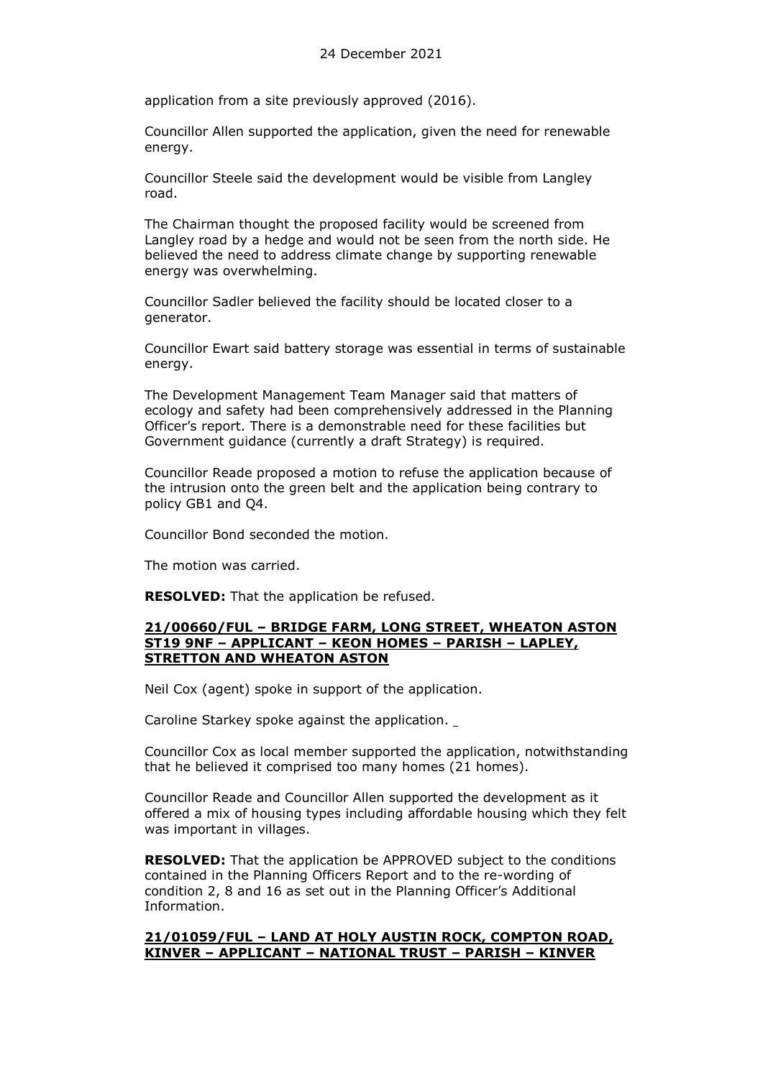application from a site previously approved (2016).

Councillor Allen supported the application, given the need for renewable energy.

Councillor Steele said the development would be visible from Langley road.

The Chairman thought the proposed facility would be screened from Langley road by a hedge and would not be seen from the north side. He believed the need to address climate change by supporting renewable energy was overwhelming.

Councillor Sadler believed the facility should be located closer to a generator.

Councillor Ewart said battery storage was essential in terms of sustainable energy.

The Development Management Team Manager said that matters of ecology and safety had been comprehensively addressed in the Planning Officer's report. There is a demonstrable need for these facilities but Government guidance (currently a draft Strategy) is required.

Councillor Reade proposed a motion to refuse the application because of the intrusion onto the green belt and the application being contrary to policy GB1 and Q4.

Councillor Bond seconded the motion.

The motion was carried.

**RESOLVED:** That the application be refused.

#### **21/00660/FUL – BRIDGE FARM, LONG STREET, WHEATON ASTON ST19 9NF – APPLICANT – KEON HOMES – PARISH – LAPLEY, STRETTON AND WHEATON ASTON**

Neil Cox (agent) spoke in support of the application.

Caroline Starkey spoke against the application.

Councillor Cox as local member supported the application, notwithstanding that he believed it comprised too many homes (21 homes).

Councillor Reade and Councillor Allen supported the development as it offered a mix of housing types including affordable housing which they felt was important in villages.

**RESOLVED:** That the application be APPROVED subject to the conditions contained in the Planning Officers Report and to the re-wording of condition 2, 8 and 16 as set out in the Planning Officer's Additional Information.

## **21/01059/FUL – LAND AT HOLY AUSTIN ROCK, COMPTON ROAD, KINVER – APPLICANT – NATIONAL TRUST – PARISH – KINVER**